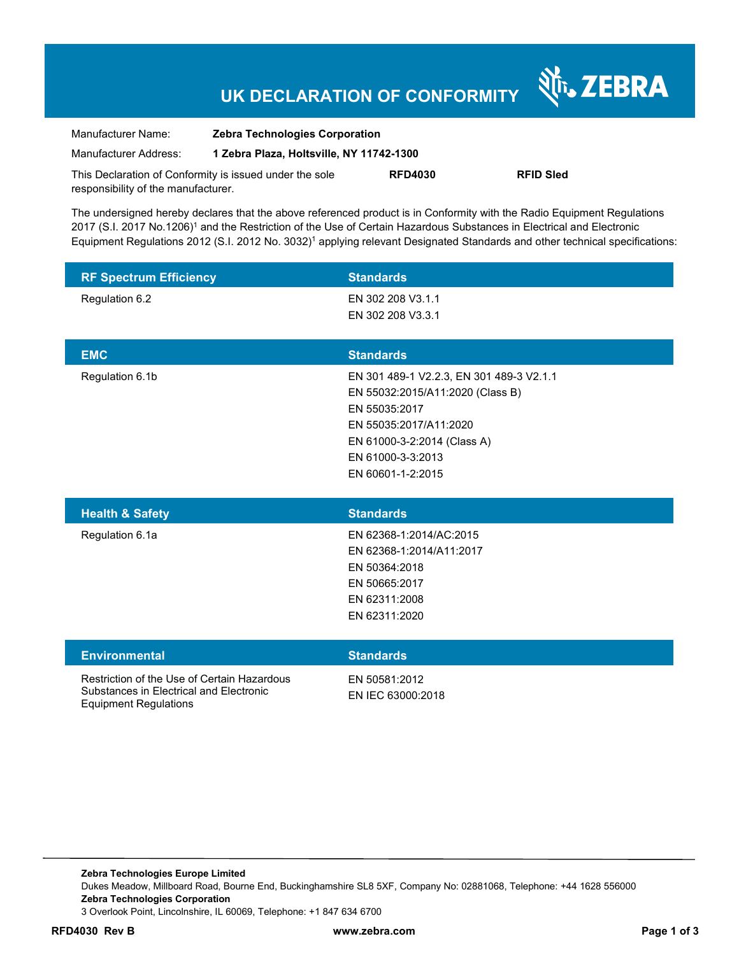## **UK DECLARATION OF CONFORMITY**

Nr. ZEBRA

| Manufacturer Name:                                      | <b>Zebra Technologies Corporation</b><br>1 Zebra Plaza, Holtsville, NY 11742-1300 |                |                  |
|---------------------------------------------------------|-----------------------------------------------------------------------------------|----------------|------------------|
| Manufacturer Address:                                   |                                                                                   |                |                  |
| This Declaration of Conformity is issued under the sole |                                                                                   | <b>RFD4030</b> | <b>RFID Sled</b> |
| responsibility of the manufacturer.                     |                                                                                   |                |                  |

The undersigned hereby declares that the above referenced product is in Conformity with the Radio Equipment Regulations 2017 (S.I. 2017 No.1206)<sup>1</sup> and the Restriction of the Use of Certain Hazardous Substances in Electrical and Electronic Equipment Regulations 2012 (S.I. 2012 No. 3032)<sup>1</sup> applying relevant Designated Standards and other technical specifications:

| <b>RF Spectrum Efficiency</b><br>Regulation 6.2                                        | <b>Standards</b><br>EN 302 208 V3.1.1<br>EN 302 208 V3.3.1                                                                                                                                       |
|----------------------------------------------------------------------------------------|--------------------------------------------------------------------------------------------------------------------------------------------------------------------------------------------------|
| <b>EMC</b>                                                                             | <b>Standards</b>                                                                                                                                                                                 |
| Regulation 6.1b                                                                        | EN 301 489-1 V2.2.3, EN 301 489-3 V2.1.1<br>EN 55032:2015/A11:2020 (Class B)<br>EN 55035:2017<br>EN 55035:2017/A11:2020<br>EN 61000-3-2:2014 (Class A)<br>EN 61000-3-3:2013<br>EN 60601-1-2:2015 |
| <b>Health &amp; Safety</b>                                                             | <b>Standards</b>                                                                                                                                                                                 |
| Regulation 6.1a                                                                        | EN 62368-1:2014/AC:2015<br>EN 62368-1:2014/A11:2017<br>EN 50364:2018<br>EN 50665:2017<br>EN 62311:2008<br>EN 62311:2020                                                                          |
| <b>Environmental</b>                                                                   | <b>Standards</b>                                                                                                                                                                                 |
| Restriction of the Use of Certain Hazardous<br>Substances in Electrical and Electronic | EN 50581:2012<br>EN IEC 63000:2018                                                                                                                                                               |

Equipment Regulations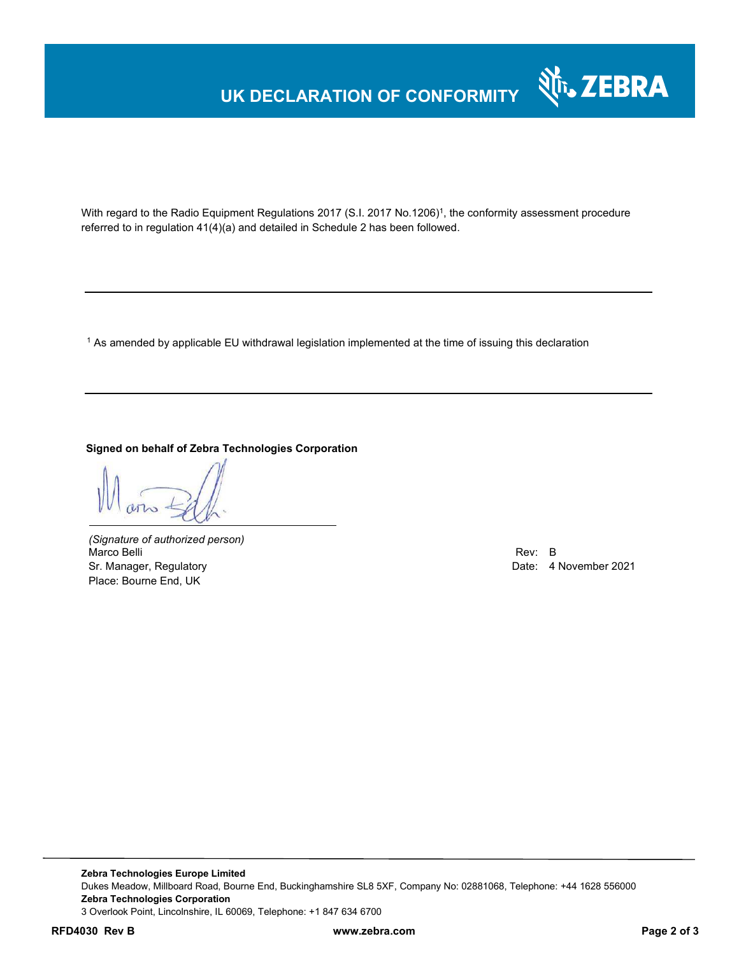# **UK DECLARATION OF CONFORMITY**



With regard to the Radio Equipment Regulations 2017 (S.I. 2017 No.1206)<sup>1</sup>, the conformity assessment procedure referred to in regulation 41(4)(a) and detailed in Schedule 2 has been followed.

 $^{\rm 1}$  As amended by applicable EU withdrawal legislation implemented at the time of issuing this declaration

#### **Signed on behalf of Zebra Technologies Corporation**

*(Signature of authorized person)* Marco Belli Rev: B Sr. Manager, Regulatory **Date: 4 November 2021** Place: Bourne End, UK

**Zebra Technologies Europe Limited**  Dukes Meadow, Millboard Road, Bourne End, Buckinghamshire SL8 5XF, Company No: 02881068, Telephone: +44 1628 556000 **Zebra Technologies Corporation**  3 Overlook Point, Lincolnshire, IL 60069, Telephone: +1 847 634 6700